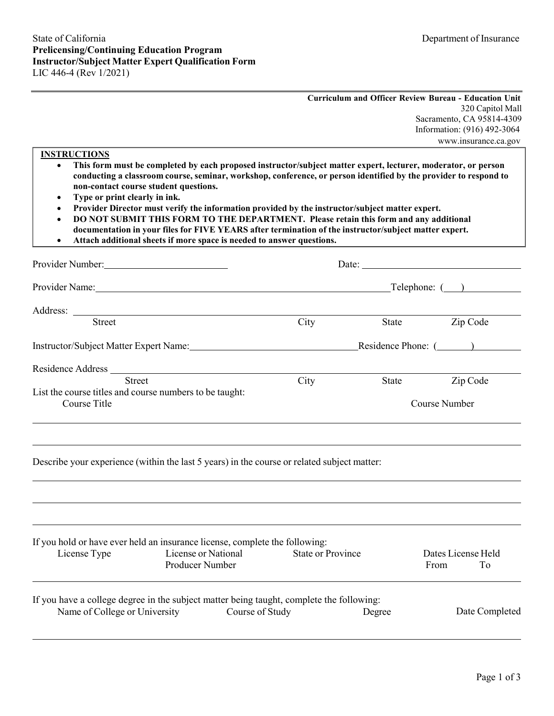| <b>Curriculum and Officer Review Bureau - Education Unit</b> |
|--------------------------------------------------------------|
| 320 Capitol Mall                                             |
| Sacramento, CA 95814-4309                                    |
| Information: (916) 492-3064                                  |
| www.insurance.ca.gov                                         |

### **INSTRUCTIONS**

- **conducting a classroom course, seminar, workshop, conference, or person identified by the provider to respond to non-contact course student questions.**  • **This form must be completed by each proposed instructor/subject matter expert, lecturer, moderator, or person**
- **Type or print clearly in ink.**
- **Provider Director must verify the information provided by the instructor/subject matter expert.**
- **DO NOT SUBMIT THIS FORM TO THE DEPARTMENT. Please retain this form and any additional documentation in your files for FIVE YEARS after termination of the instructor/subject matter expert.**
- **Attach additional sheets if more space is needed to answer questions.**

| Provider Number:                                                                                                                                                                                                               |                          | Date:         |                            |                |  |
|--------------------------------------------------------------------------------------------------------------------------------------------------------------------------------------------------------------------------------|--------------------------|---------------|----------------------------|----------------|--|
| Provider Name: Telephone: ()                                                                                                                                                                                                   |                          |               |                            |                |  |
|                                                                                                                                                                                                                                |                          |               |                            |                |  |
| <b>Street</b>                                                                                                                                                                                                                  | City                     |               | State Zip Code             |                |  |
| Instructor/Subject Matter Expert Name: Residence Phone: (Comparent Contractor Comparent Contractor Comparent Comparent Comparent Comparent Comparent Comparent Comparent Comparent Comparent Comparent Comparent Comparent Com |                          |               |                            |                |  |
|                                                                                                                                                                                                                                |                          |               |                            |                |  |
| <b>Street</b>                                                                                                                                                                                                                  | City                     | State         |                            | Zip Code       |  |
| List the course titles and course numbers to be taught:<br>Course Title                                                                                                                                                        |                          | Course Number |                            |                |  |
| Describe your experience (within the last 5 years) in the course or related subject matter:                                                                                                                                    |                          |               |                            |                |  |
| If you hold or have ever held an insurance license, complete the following:<br>License or National<br>License Type<br>Producer Number                                                                                          | <b>State or Province</b> |               | Dates License Held<br>From | To             |  |
| If you have a college degree in the subject matter being taught, complete the following:<br>Name of College or University Course of Study                                                                                      |                          | Degree        |                            | Date Completed |  |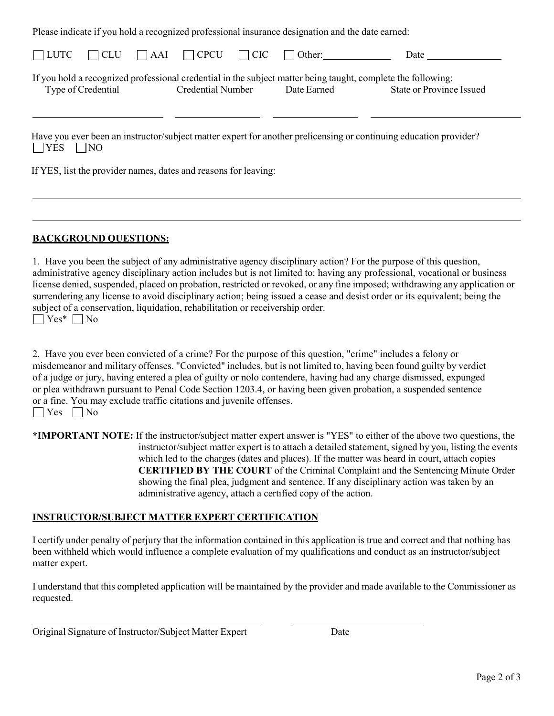|             |                    |                          | Please indicate if you hold a recognized professional insurance designation and the date earned: |                                                                                                                                                 |  |
|-------------|--------------------|--------------------------|--------------------------------------------------------------------------------------------------|-------------------------------------------------------------------------------------------------------------------------------------------------|--|
| $\Box$ LUTC | $\Box$ CLU         |                          | $\Box$ AAI $\Box$ CPCU $\Box$ CIC $\Box$ Other:                                                  | Date                                                                                                                                            |  |
|             | Type of Credential | <b>Credential Number</b> | Date Earned                                                                                      | If you hold a recognized professional credential in the subject matter being taught, complete the following:<br><b>State or Province Issued</b> |  |
| <b>TYES</b> | $\Box$ NO          |                          |                                                                                                  | Have you ever been an instructor/subject matter expert for another prelicensing or continuing education provider?                               |  |

If YES, list the provider names, dates and reasons for leaving:

### **BACKGROUND QUESTIONS:**

 1. Have you been the subject of any administrative agency disciplinary action? For the purpose of this question, license denied, suspended, placed on probation, restricted or revoked, or any fine imposed; withdrawing any application or subject of a conservation, liquidation, rehabilitation or receivership order.  $\Box$  Yes\*  $\Box$  No administrative agency disciplinary action includes but is not limited to: having any professional, vocational or business surrendering any license to avoid disciplinary action; being issued a cease and desist order or its equivalent; being the

 misdemeanor and military offenses. "Convicted" includes, but is not limited to, having been found guilty by verdict of a judge or jury, having entered a plea of guilty or nolo contendere, having had any charge dismissed, expunged or a fine. You may exclude traffic citations and juvenile offenses.  $\Box$  Yes  $\Box$  No 2. Have you ever been convicted of a crime? For the purpose of this question, "crime" includes a felony or or plea withdrawn pursuant to Penal Code Section 1203.4, or having been given probation, a suspended sentence

 **\*IMPORTANT NOTE:** If the instructor/subject matter expert answer is "YES" to either of the above two questions, the instructor/subject matter expert is to attach a detailed statement, signed by you, listing the events which led to the charges (dates and places). If the matter was heard in court, attach copies administrative agency, attach a certified copy of the action. **CERTIFIED BY THE COURT** of the Criminal Complaint and the Sentencing Minute Order showing the final plea, judgment and sentence. If any disciplinary action was taken by an

## **INSTRUCTOR/SUBJECT MATTER EXPERT CERTIFICATION**

 I certify under penalty of perjury that the information contained in this application is true and correct and that nothing has matter expert. been withheld which would influence a complete evaluation of my qualifications and conduct as an instructor/subject

 I understand that this completed application will be maintained by the provider and made available to the Commissioner as requested.

| Original Signature of Instructor/Subject Matter Expert | Date |
|--------------------------------------------------------|------|
|                                                        |      |